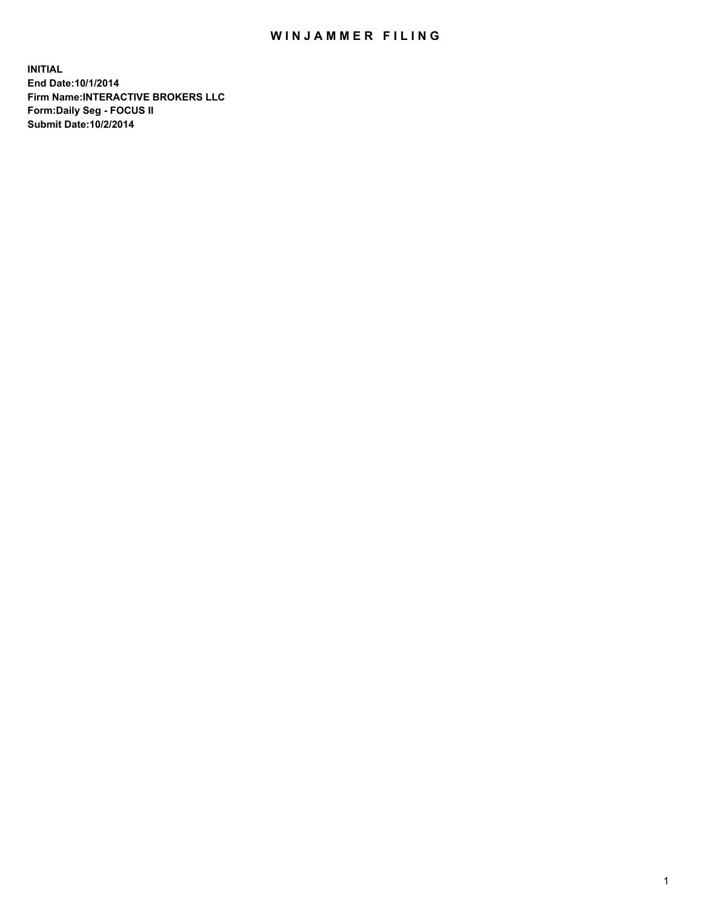## WIN JAMMER FILING

**INITIAL End Date:10/1/2014 Firm Name:INTERACTIVE BROKERS LLC Form:Daily Seg - FOCUS II Submit Date:10/2/2014**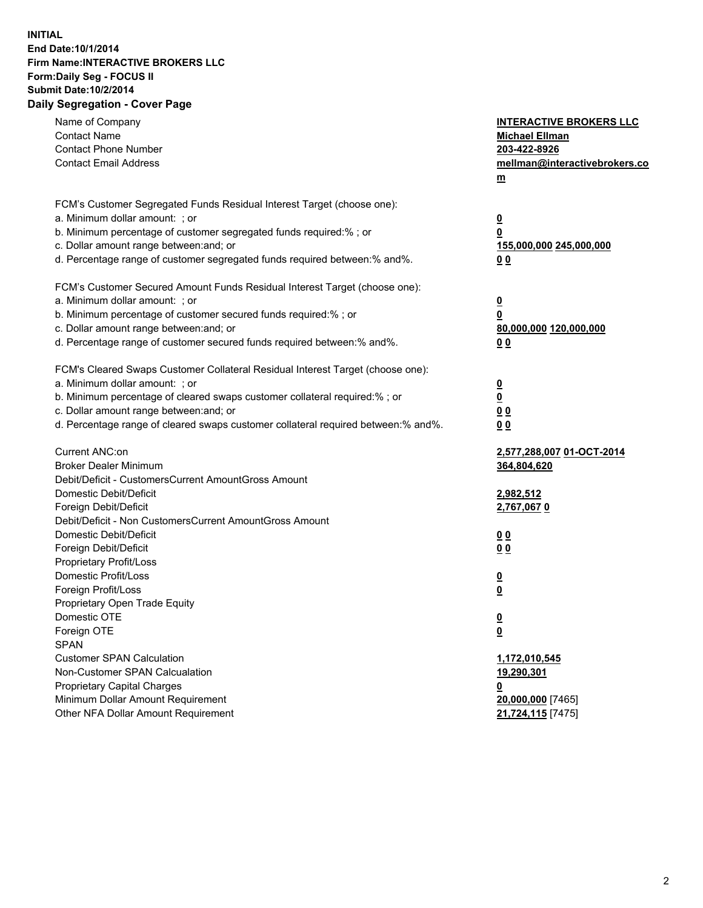## **INITIAL End Date:10/1/2014 Firm Name:INTERACTIVE BROKERS LLC Form:Daily Seg - FOCUS II Submit Date:10/2/2014 Daily Segregation - Cover Page**

| Name of Company<br><b>Contact Name</b>                                            | <b>INTERACTIVE BROKERS LLC</b><br><b>Michael Ellman</b> |
|-----------------------------------------------------------------------------------|---------------------------------------------------------|
| <b>Contact Phone Number</b>                                                       | 203-422-8926                                            |
| <b>Contact Email Address</b>                                                      | mellman@interactivebrokers.co                           |
|                                                                                   | $\underline{\mathbf{m}}$                                |
|                                                                                   |                                                         |
| FCM's Customer Segregated Funds Residual Interest Target (choose one):            |                                                         |
| a. Minimum dollar amount: ; or                                                    | $\overline{\mathbf{0}}$                                 |
| b. Minimum percentage of customer segregated funds required:% ; or                | 0                                                       |
| c. Dollar amount range between: and; or                                           | 155,000,000 245,000,000                                 |
| d. Percentage range of customer segregated funds required between:% and%.         | 00                                                      |
|                                                                                   |                                                         |
| FCM's Customer Secured Amount Funds Residual Interest Target (choose one):        |                                                         |
| a. Minimum dollar amount: ; or                                                    | $\overline{\mathbf{0}}$                                 |
| b. Minimum percentage of customer secured funds required:% ; or                   | 0                                                       |
| c. Dollar amount range between: and; or                                           | 80,000,000 120,000,000                                  |
| d. Percentage range of customer secured funds required between:% and%.            | 00                                                      |
| FCM's Cleared Swaps Customer Collateral Residual Interest Target (choose one):    |                                                         |
| a. Minimum dollar amount: ; or                                                    | $\overline{\mathbf{0}}$                                 |
| b. Minimum percentage of cleared swaps customer collateral required:% ; or        | $\underline{\mathbf{0}}$                                |
| c. Dollar amount range between: and; or                                           | 0 <sub>0</sub>                                          |
| d. Percentage range of cleared swaps customer collateral required between:% and%. | 0 <sub>0</sub>                                          |
|                                                                                   |                                                         |
| Current ANC:on                                                                    | 2,577,288,007 01-OCT-2014                               |
| <b>Broker Dealer Minimum</b>                                                      | 364,804,620                                             |
| Debit/Deficit - CustomersCurrent AmountGross Amount                               |                                                         |
| Domestic Debit/Deficit                                                            | 2,982,512                                               |
| Foreign Debit/Deficit                                                             | 2,767,0670                                              |
| Debit/Deficit - Non CustomersCurrent AmountGross Amount                           |                                                         |
| Domestic Debit/Deficit                                                            | 0 <sub>0</sub>                                          |
| Foreign Debit/Deficit                                                             | 0 <sub>0</sub>                                          |
| Proprietary Profit/Loss                                                           |                                                         |
| Domestic Profit/Loss                                                              | $\overline{\mathbf{0}}$                                 |
| Foreign Profit/Loss                                                               | $\underline{\mathbf{0}}$                                |
| Proprietary Open Trade Equity                                                     |                                                         |
| Domestic OTE                                                                      | <u>0</u>                                                |
| Foreign OTE                                                                       | <u>0</u>                                                |
| <b>SPAN</b>                                                                       |                                                         |
| <b>Customer SPAN Calculation</b>                                                  | 1,172,010,545                                           |
| Non-Customer SPAN Calcualation                                                    | 19,290,301                                              |
| Proprietary Capital Charges                                                       | <u>0</u>                                                |
| Minimum Dollar Amount Requirement                                                 | 20,000,000 [7465]                                       |
| Other NFA Dollar Amount Requirement                                               | 21,724,115 [7475]                                       |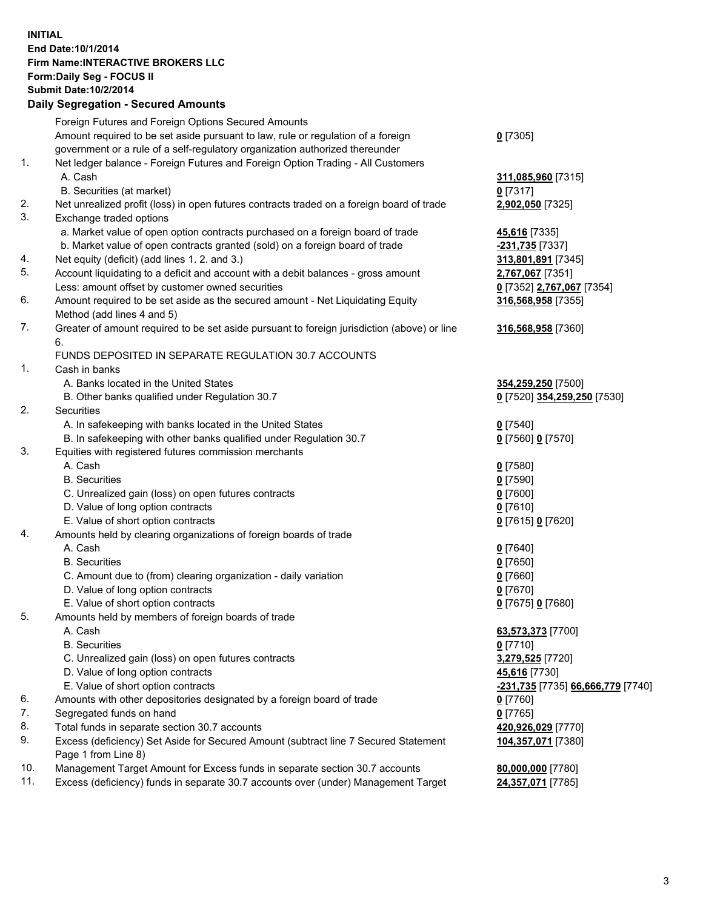## **INITIAL End Date:10/1/2014 Firm Name:INTERACTIVE BROKERS LLC Form:Daily Seg - FOCUS II Submit Date:10/2/2014 Daily Segregation - Secured Amounts**

| Dany Oogregation - Oecarea Amounts                                                          |                                                                                    |
|---------------------------------------------------------------------------------------------|------------------------------------------------------------------------------------|
| Foreign Futures and Foreign Options Secured Amounts                                         |                                                                                    |
| Amount required to be set aside pursuant to law, rule or regulation of a foreign            | $0$ [7305]                                                                         |
| government or a rule of a self-regulatory organization authorized thereunder                |                                                                                    |
| Net ledger balance - Foreign Futures and Foreign Option Trading - All Customers             |                                                                                    |
| A. Cash                                                                                     | 311,085,960 [7315]                                                                 |
| B. Securities (at market)                                                                   | $0$ [7317]                                                                         |
| Net unrealized profit (loss) in open futures contracts traded on a foreign board of trade   | 2,902,050 [7325]                                                                   |
| Exchange traded options                                                                     |                                                                                    |
| a. Market value of open option contracts purchased on a foreign board of trade              | 45,616 [7335]                                                                      |
| b. Market value of open contracts granted (sold) on a foreign board of trade                | -231,735 [7337]                                                                    |
| Net equity (deficit) (add lines 1.2. and 3.)                                                | 313,801,891 [7345]                                                                 |
| Account liquidating to a deficit and account with a debit balances - gross amount           | 2,767,067 [7351]                                                                   |
| Less: amount offset by customer owned securities                                            | 0 [7352] 2,767,067 [7354]                                                          |
| Amount required to be set aside as the secured amount - Net Liquidating Equity              | 316,568,958 [7355]                                                                 |
| Method (add lines 4 and 5)                                                                  |                                                                                    |
| Greater of amount required to be set aside pursuant to foreign jurisdiction (above) or line | 316,568,958 [7360]                                                                 |
| 6.                                                                                          |                                                                                    |
| FUNDS DEPOSITED IN SEPARATE REGULATION 30.7 ACCOUNTS                                        |                                                                                    |
| Cash in banks                                                                               |                                                                                    |
| A. Banks located in the United States                                                       | 354,259,250 [7500]                                                                 |
| B. Other banks qualified under Regulation 30.7                                              | 0 [7520] 354,259,250 [7530]                                                        |
| Securities                                                                                  |                                                                                    |
| A. In safekeeping with banks located in the United States                                   | $0$ [7540]                                                                         |
| B. In safekeeping with other banks qualified under Regulation 30.7                          | 0 [7560] 0 [7570]                                                                  |
| Equities with registered futures commission merchants                                       |                                                                                    |
| A. Cash                                                                                     | $0$ [7580]                                                                         |
| <b>B.</b> Securities                                                                        | $0$ [7590]                                                                         |
| C. Unrealized gain (loss) on open futures contracts                                         | $0$ [7600]                                                                         |
| D. Value of long option contracts                                                           | $0$ [7610]                                                                         |
| E. Value of short option contracts                                                          | 0 [7615] 0 [7620]                                                                  |
| Amounts held by clearing organizations of foreign boards of trade                           |                                                                                    |
| A. Cash                                                                                     | $0$ [7640]                                                                         |
| <b>B.</b> Securities                                                                        | $0$ [7650]                                                                         |
| C. Amount due to (from) clearing organization - daily variation                             | $0$ [7660]                                                                         |
| D. Value of long option contracts                                                           | $0$ [7670]                                                                         |
| E. Value of short option contracts                                                          | 0 [7675] 0 [7680]                                                                  |
| Amounts held by members of foreign boards of trade                                          |                                                                                    |
| A. Cash                                                                                     | 63,573,373 [7700]                                                                  |
| <b>B.</b> Securities                                                                        | $0$ [7710]                                                                         |
| C. Unrealized gain (loss) on open futures contracts                                         | 3,279,525 [7720]                                                                   |
| D. Value of long option contracts                                                           | 45,616 [7730]                                                                      |
| E. Value of short option contracts                                                          | -231,735 [7735] 66,666,779 [7740]                                                  |
| Amounts with other depositories designated by a foreign board of trade                      | 0 [7760]                                                                           |
| Segregated funds on hand                                                                    | $0$ [7765]                                                                         |
| Total funds in separate section 30.7 accounts                                               | 420,926,029 [7770]                                                                 |
| Excess (deficiency) Set Aside for Secured Amount (subtract line 7 Secured Statement         | 104,357,071 [7380]                                                                 |
| Page 1 from Line 8)                                                                         |                                                                                    |
| Management Target Amount for Excess funds in separate section 30.7 accounts                 | 80,000,000 [7780]                                                                  |
|                                                                                             | 24,357,071 [7785]                                                                  |
|                                                                                             | Excess (deficiency) funds in separate 30.7 accounts over (under) Management Target |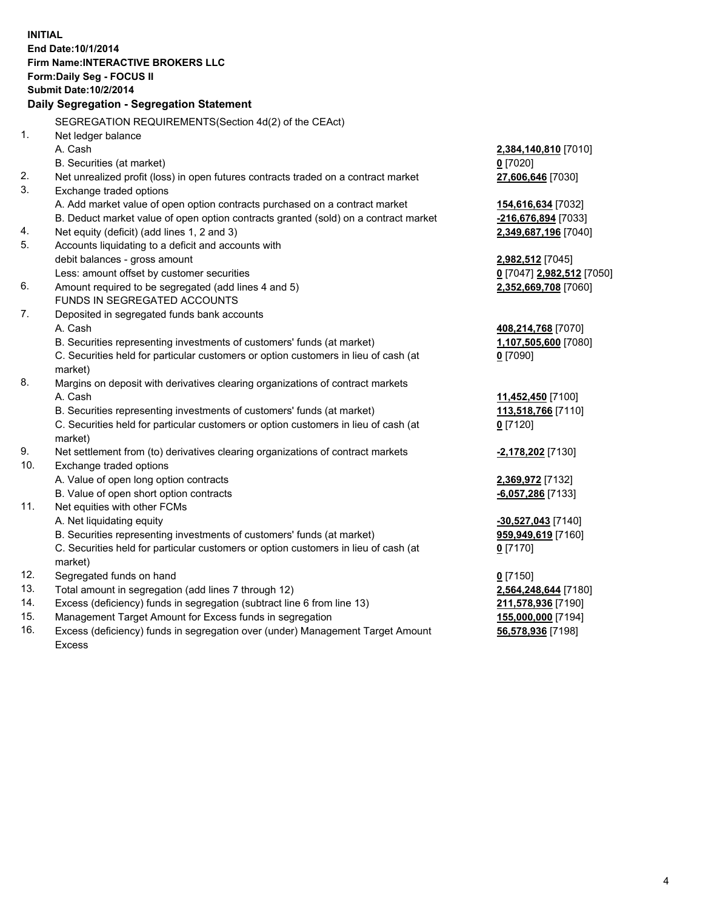**INITIAL End Date:10/1/2014 Firm Name:INTERACTIVE BROKERS LLC Form:Daily Seg - FOCUS II Submit Date:10/2/2014 Daily Segregation - Segregation Statement** SEGREGATION REQUIREMENTS(Section 4d(2) of the CEAct) 1. Net ledger balance A. Cash **2,384,140,810** [7010] B. Securities (at market) **0** [7020] 2. Net unrealized profit (loss) in open futures contracts traded on a contract market **27,606,646** [7030] 3. Exchange traded options A. Add market value of open option contracts purchased on a contract market **154,616,634** [7032] B. Deduct market value of open option contracts granted (sold) on a contract market **-216,676,894** [7033] 4. Net equity (deficit) (add lines 1, 2 and 3) **2,349,687,196** [7040] 5. Accounts liquidating to a deficit and accounts with debit balances - gross amount **2,982,512** [7045] Less: amount offset by customer securities **0** [7047] **2,982,512** [7050] 6. Amount required to be segregated (add lines 4 and 5) **2,352,669,708** [7060] FUNDS IN SEGREGATED ACCOUNTS 7. Deposited in segregated funds bank accounts A. Cash **408,214,768** [7070] B. Securities representing investments of customers' funds (at market) **1,107,505,600** [7080] C. Securities held for particular customers or option customers in lieu of cash (at market) **0** [7090] 8. Margins on deposit with derivatives clearing organizations of contract markets A. Cash **11,452,450** [7100] B. Securities representing investments of customers' funds (at market) **113,518,766** [7110] C. Securities held for particular customers or option customers in lieu of cash (at market) **0** [7120] 9. Net settlement from (to) derivatives clearing organizations of contract markets **-2,178,202** [7130] 10. Exchange traded options A. Value of open long option contracts **2,369,972** [7132] B. Value of open short option contracts **-6,057,286** [7133] 11. Net equities with other FCMs A. Net liquidating equity **-30,527,043** [7140] B. Securities representing investments of customers' funds (at market) **959,949,619** [7160] C. Securities held for particular customers or option customers in lieu of cash (at market) **0** [7170] 12. Segregated funds on hand **0** [7150] 13. Total amount in segregation (add lines 7 through 12) **2,564,248,644** [7180] 14. Excess (deficiency) funds in segregation (subtract line 6 from line 13) **211,578,936** [7190] 15. Management Target Amount for Excess funds in segregation **155,000,000** [7194]

16. Excess (deficiency) funds in segregation over (under) Management Target Amount Excess

**56,578,936** [7198]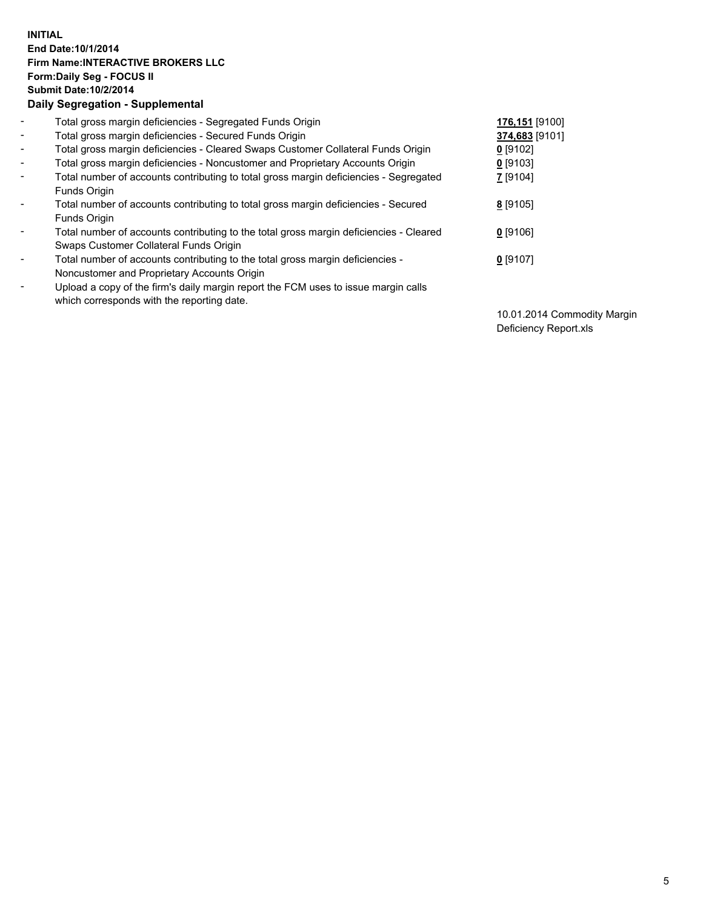## **INITIAL End Date:10/1/2014 Firm Name:INTERACTIVE BROKERS LLC Form:Daily Seg - FOCUS II Submit Date:10/2/2014 Daily Segregation - Supplemental**

| $\blacksquare$           | Total gross margin deficiencies - Segregated Funds Origin                              | 176,151 [9100] |
|--------------------------|----------------------------------------------------------------------------------------|----------------|
| $\blacksquare$           | Total gross margin deficiencies - Secured Funds Origin                                 | 374,683 [9101] |
| $\blacksquare$           | Total gross margin deficiencies - Cleared Swaps Customer Collateral Funds Origin       | $0$ [9102]     |
| $\blacksquare$           | Total gross margin deficiencies - Noncustomer and Proprietary Accounts Origin          | $0$ [9103]     |
| $\blacksquare$           | Total number of accounts contributing to total gross margin deficiencies - Segregated  | 7 [9104]       |
|                          | Funds Origin                                                                           |                |
| $\blacksquare$           | Total number of accounts contributing to total gross margin deficiencies - Secured     | 8 [9105]       |
|                          | Funds Origin                                                                           |                |
| $\overline{\phantom{a}}$ | Total number of accounts contributing to the total gross margin deficiencies - Cleared | $0$ [9106]     |
|                          | Swaps Customer Collateral Funds Origin                                                 |                |
| -                        | Total number of accounts contributing to the total gross margin deficiencies -         | $0$ [9107]     |
|                          | Noncustomer and Proprietary Accounts Origin                                            |                |
| $\blacksquare$           | Upload a copy of the firm's daily margin report the FCM uses to issue margin calls     |                |
|                          | which corresponds with the reporting date.                                             |                |

10.01.2014 Commodity Margin Deficiency Report.xls